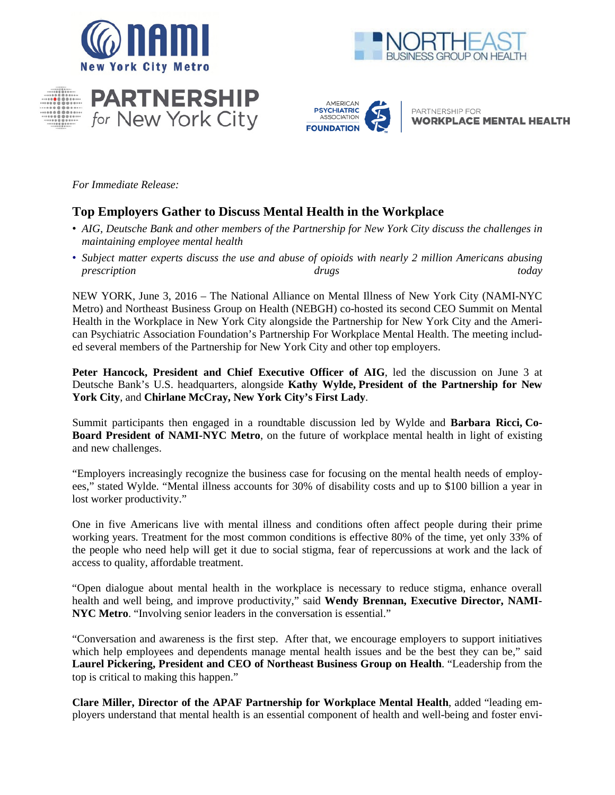







PARTNERSHIP FOR **WORKPLACE MENTAL HEALTH** 

*For Immediate Release:*

# **Top Employers Gather to Discuss Mental Health in the Workplace**

- *AIG, Deutsche Bank and other members of the Partnership for New York City discuss the challenges in maintaining employee mental health*
- *Subject matter experts discuss the use and abuse of opioids with nearly 2 million Americans abusing prescription drugs today*

NEW YORK, June 3, 2016 – The National Alliance on Mental Illness of New York City (NAMI-NYC Metro) and Northeast Business Group on Health (NEBGH) co-hosted its second CEO Summit on Mental Health in the Workplace in New York City alongside the Partnership for New York City and the American Psychiatric Association Foundation's Partnership For Workplace Mental Health. The meeting included several members of the Partnership for New York City and other top employers.

**Peter Hancock, President and Chief Executive Officer of AIG**, led the discussion on June 3 at Deutsche Bank's U.S. headquarters, alongside **Kathy Wylde, President of the Partnership for New York City**, and **Chirlane McCray, New York City's First Lady**.

Summit participants then engaged in a roundtable discussion led by Wylde and **Barbara Ricci, Co-Board President of NAMI-NYC Metro**, on the future of workplace mental health in light of existing and new challenges.

"Employers increasingly recognize the business case for focusing on the mental health needs of employees," stated Wylde. "Mental illness accounts for 30% of disability costs and up to \$100 billion a year in lost worker productivity."

One in five Americans live with mental illness and conditions often affect people during their prime working years. Treatment for the most common conditions is effective 80% of the time, yet only 33% of the people who need help will get it due to social stigma, fear of repercussions at work and the lack of access to quality, affordable treatment.

"Open dialogue about mental health in the workplace is necessary to reduce stigma, enhance overall health and well being, and improve productivity," said **Wendy Brennan, Executive Director, NAMI-NYC Metro**. "Involving senior leaders in the conversation is essential."

"Conversation and awareness is the first step. After that, we encourage employers to support initiatives which help employees and dependents manage mental health issues and be the best they can be," said **Laurel Pickering, President and CEO of Northeast Business Group on Health**. "Leadership from the top is critical to making this happen."

**Clare Miller, Director of the APAF Partnership for Workplace Mental Health**, added "leading employers understand that mental health is an essential component of health and well-being and foster envi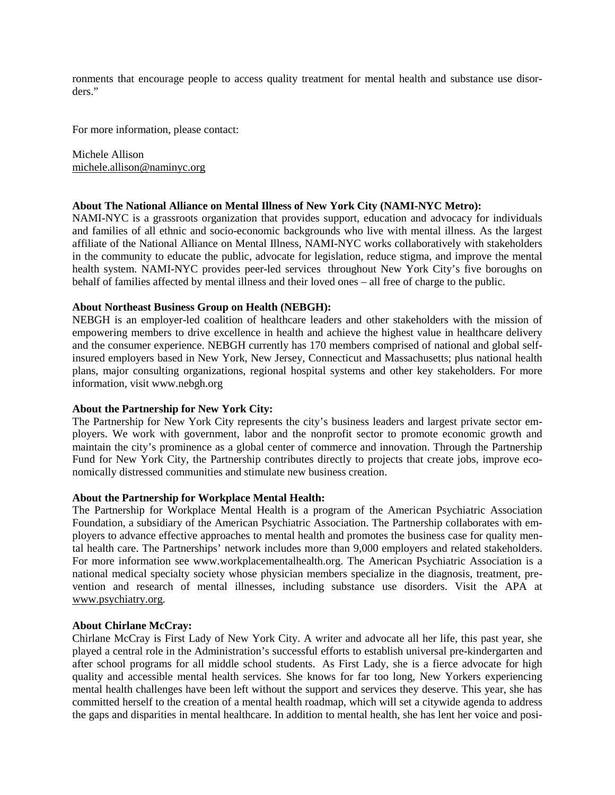ronments that encourage people to access quality treatment for mental health and substance use disorders."

For more information, please contact:

Michele Allison [michele.allison@naminyc.org](mailto:michele.allison@naminyc.org)

## **About The National Alliance on Mental Illness of New York City (NAMI-NYC Metro):**

NAMI-NYC is a grassroots organization that provides support, education and advocacy for individuals and families of all ethnic and socio-economic backgrounds who live with mental illness. As the largest affiliate of the National Alliance on Mental Illness, NAMI-NYC works collaboratively with stakeholders in the community to educate the public, advocate for legislation, reduce stigma, and improve the mental health system. NAMI-NYC provides peer-led services throughout New York City's five boroughs on behalf of families affected by mental illness and their loved ones – all free of charge to the public.

## **About Northeast Business Group on Health (NEBGH):**

NEBGH is an employer-led coalition of healthcare leaders and other stakeholders with the mission of empowering members to drive excellence in health and achieve the highest value in healthcare delivery and the consumer experience. NEBGH currently has 170 members comprised of national and global selfinsured employers based in New York, New Jersey, Connecticut and Massachusetts; plus national health plans, major consulting organizations, regional hospital systems and other key stakeholders. For more information, visit www.nebgh.org

## **About the Partnership for New York City:**

The Partnership for New York City represents the city's business leaders and largest private sector employers. We work with government, labor and the nonprofit sector to promote economic growth and maintain the city's prominence as a global center of commerce and innovation. Through the Partnership Fund for New York City, the Partnership contributes directly to projects that create jobs, improve economically distressed communities and stimulate new business creation.

## **About the Partnership for Workplace Mental Health:**

The Partnership for Workplace Mental Health is a program of the American Psychiatric Association Foundation, a subsidiary of the American Psychiatric Association. The Partnership collaborates with employers to advance effective approaches to mental health and promotes the business case for quality mental health care. The Partnerships' network includes more than 9,000 employers and related stakeholders. For more information see www.workplacementalhealth.org. The American Psychiatric Association is a national medical specialty society whose physician members specialize in the diagnosis, treatment, prevention and research of mental illnesses, including substance use disorders. Visit the APA at [www.psychiatry.org.](http://www.psychiatry.org/)

## **About Chirlane McCray:**

Chirlane McCray is First Lady of New York City. A writer and advocate all her life, this past year, she played a central role in the Administration's successful efforts to establish universal pre-kindergarten and after school programs for all middle school students. As First Lady, she is a fierce advocate for high quality and accessible mental health services. She knows for far too long, New Yorkers experiencing mental health challenges have been left without the support and services they deserve. This year, she has committed herself to the creation of a mental health roadmap, which will set a citywide agenda to address the gaps and disparities in mental healthcare. In addition to mental health, she has lent her voice and posi